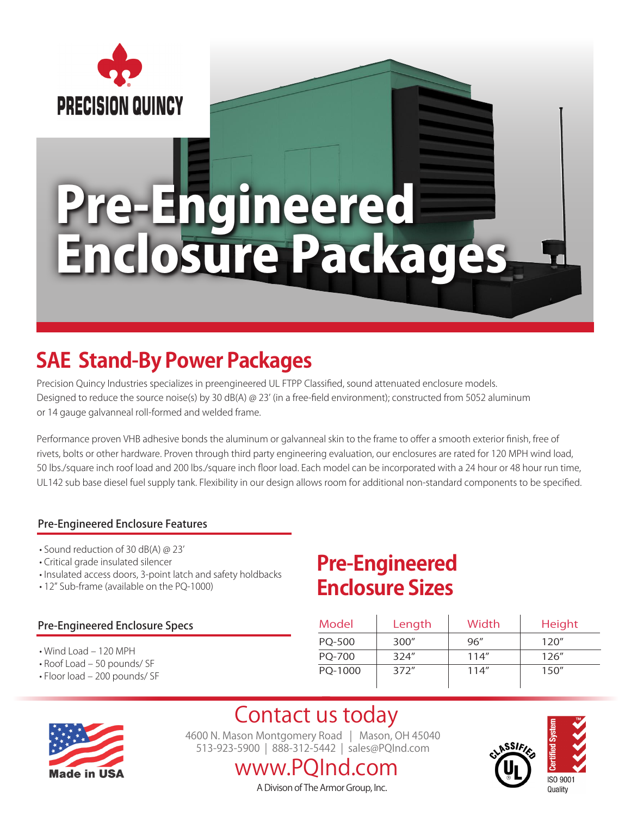

# Pre-Engineered Enclosure Packages

# **SAE Stand-By Power Packages**

Precision Quincy Industries specializes in preengineered UL FTPP Classified, sound attenuated enclosure models. Designed to reduce the source noise(s) by 30 dB(A) @ 23' (in a free-field environment); constructed from 5052 aluminum or 14 gauge galvanneal roll-formed and welded frame.

Performance proven VHB adhesive bonds the aluminum or galvanneal skin to the frame to offer a smooth exterior finish, free of rivets, bolts or other hardware. Proven through third party engineering evaluation, our enclosures are rated for 120 MPH wind load, 50 lbs./square inch roof load and 200 lbs./square inch floor load. Each model can be incorporated with a 24 hour or 48 hour run time, UL142 sub base diesel fuel supply tank. Flexibility in our design allows room for additional non-standard components to be specified.

#### Pre-Engineered Enclosure Features

- Sound reduction of 30 dB(A) @ 23'
- Critical grade insulated silencer
- Insulated access doors, 3-point latch and safety holdbacks
- 12" Sub-frame (available on the PQ-1000)

#### Pre-Engineered Enclosure Specs

- Wind Load 120 MPH
- Roof Load 50 pounds/ SF
- Floor load 200 pounds/ SF

### **Pre-Engineered Enclosure Sizes**

| Model   | Length | Width | Height |
|---------|--------|-------|--------|
| PQ-500  | 300''  | 96''  | 120''  |
| PO-700  | 324''  | 114"  | 126''  |
| PO-1000 | 372''  | 114"  | 150''  |



Contact us today 4600 N. Mason Montgomery Road | Mason, OH 45040 513-923-5900 | 888-312-5442 | sales@PQInd.com

### www.PQInd.com A Divison of The Armor Group, Inc.